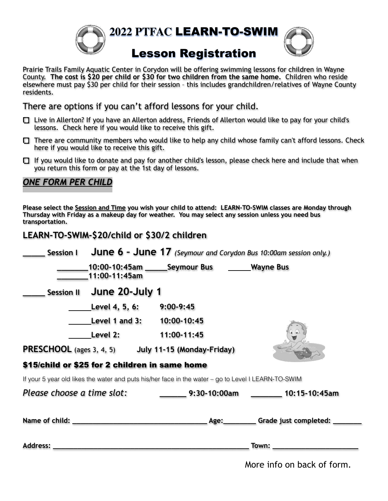

**2022 PTFAC** LEARN-TO-SWIM



## Lesson Registration

Prairie Trails Family Aquatic Center in Corydon will be offering swimming lessons for children in Wayne County. **The cost is \$20 per child or \$30 for two children from the same home.** Children who reside elsewhere must pay \$30 per child for their session – this includes grandchildren/relatives of Wayne County residents.

There are options if you can't afford lessons for your child.

- Live in Allerton? If you have an Allerton address, Friends of Allerton would like to pay for your child's lessons. Check here if you would like to receive this gift.
- $\Box$  There are community members who would like to help any child whose family can't afford lessons. Check here if you would like to receive this gift.
- $\Box$  If you would like to donate and pay for another child's lesson, please check here and include that when you return this form or pay at the 1st day of lessons.

## *ONE FORM PER CHILD*

**Please select the Session and Time you wish your child to attend: LEARN-TO-SWIM classes are Monday through Thursday with Friday as a makeup day for weather. You may select any session unless you need bus transportation.** 

## **LEARN-TO-SWIM-\$20/child or \$30/2 children**

| <b>Session I</b>                                                                                    | <b>June 6 - June 17</b> (Seymour and Corydon Bus 10:00am session only.) |              |               |
|-----------------------------------------------------------------------------------------------------|-------------------------------------------------------------------------|--------------|---------------|
|                                                                                                     | 10:00-10:45am ________ Seymour Bus _________ Wayne Bus<br>11:00-11:45am |              |               |
| June 20-July 1<br><b>Session II</b>                                                                 |                                                                         |              |               |
|                                                                                                     | Level 4, 5, 6:<br>$9:00-9:45$                                           |              |               |
|                                                                                                     | Level 1 and 3: 10:00-10:45                                              |              |               |
| Level 2:                                                                                            | 11:00-11:45                                                             |              |               |
| <b>PRESCHOOL</b> (ages 3, 4, 5) July 11-15 (Monday-Friday)                                          |                                                                         |              |               |
| \$15/child or \$25 for 2 children in same home                                                      |                                                                         |              |               |
| If your 5 year old likes the water and puts his/her face in the water – go to Level I LEARN-TO-SWIM |                                                                         |              |               |
| Please choose a time slot:                                                                          |                                                                         | 9:30-10:00am | 10:15-10:45am |
|                                                                                                     |                                                                         |              |               |
| <b>Address:</b>                                                                                     |                                                                         |              | Town:         |

More info on back of form.